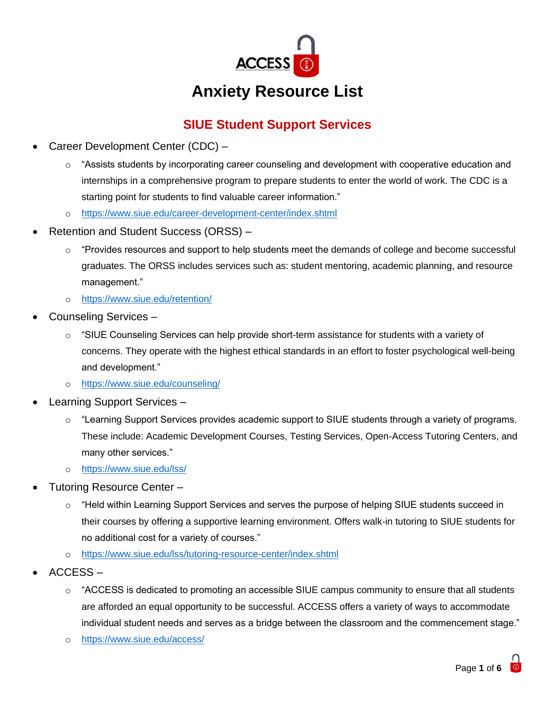

# **Anxiety Resource List**

# **SIUE Student Support Services**

- Career Development Center (CDC)
	- o "Assists students by incorporating career counseling and development with cooperative education and internships in a comprehensive program to prepare students to enter the world of work. The CDC is a starting point for students to find valuable career information."
	- o <https://www.siue.edu/career-development-center/index.shtml>
- Retention and Student Success (ORSS)
	- o "Provides resources and support to help students meet the demands of college and become successful graduates. The ORSS includes services such as: student mentoring, academic planning, and resource management."
	- o <https://www.siue.edu/retention/>
- Counseling Services
	- o "SIUE Counseling Services can help provide short-term assistance for students with a variety of concerns. They operate with the highest ethical standards in an effort to foster psychological well-being and development."
	- o <https://www.siue.edu/counseling/>
- Learning Support Services
	- $\circ$  "Learning Support Services provides academic support to SIUE students through a variety of programs. These include: Academic Development Courses, Testing Services, Open-Access Tutoring Centers, and many other services."
	- o <https://www.siue.edu/lss/>
- Tutoring Resource Center
	- $\circ$  "Held within Learning Support Services and serves the purpose of helping SIUE students succeed in their courses by offering a supportive learning environment. Offers walk-in tutoring to SIUE students for no additional cost for a variety of courses."
	- o <https://www.siue.edu/lss/tutoring-resource-center/index.shtml>
- ACCESS
	- $\circ$  "ACCESS is dedicated to promoting an accessible SIUE campus community to ensure that all students are afforded an equal opportunity to be successful. ACCESS offers a variety of ways to accommodate individual student needs and serves as a bridge between the classroom and the commencement stage."
	- o <https://www.siue.edu/access/>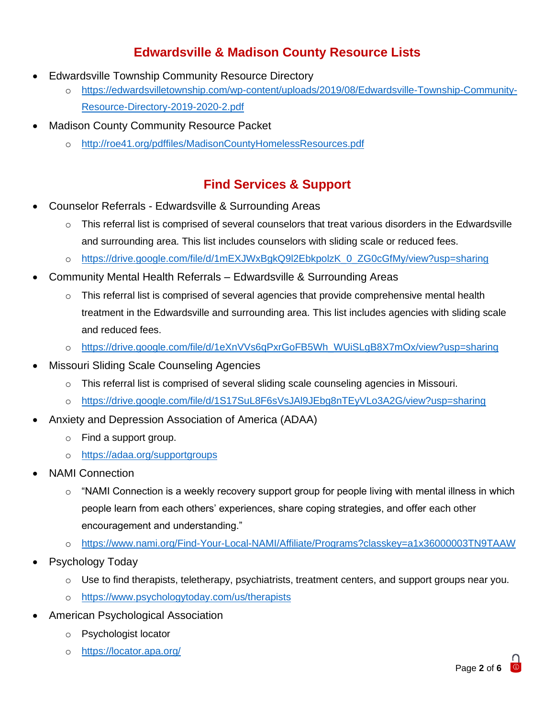## **Edwardsville & Madison County Resource Lists**

- Edwardsville Township Community Resource Directory
	- o [https://edwardsvilletownship.com/wp-content/uploads/2019/08/Edwardsville-Township-Community-](https://edwardsvilletownship.com/wp-content/uploads/2019/08/Edwardsville-Township-Community-Resource-Directory-2019-2020-2.pdf)[Resource-Directory-2019-2020-2.pdf](https://edwardsvilletownship.com/wp-content/uploads/2019/08/Edwardsville-Township-Community-Resource-Directory-2019-2020-2.pdf)
- **Madison County Community Resource Packet** 
	- o <http://roe41.org/pdffiles/MadisonCountyHomelessResources.pdf>

### **Find Services & Support**

- Counselor Referrals Edwardsville & Surrounding Areas
	- $\circ$  This referral list is comprised of several counselors that treat various disorders in the Edwardsville and surrounding area. This list includes counselors with sliding scale or reduced fees.
	- o [https://drive.google.com/file/d/1mEXJWxBgkQ9l2EbkpolzK\\_0\\_ZG0cGfMy/view?usp=sharing](https://drive.google.com/file/d/1mEXJWxBgkQ9l2EbkpolzK_0_ZG0cGfMy/view?usp=sharing)
- Community Mental Health Referrals Edwardsville & Surrounding Areas
	- $\circ$  This referral list is comprised of several agencies that provide comprehensive mental health treatment in the Edwardsville and surrounding area. This list includes agencies with sliding scale and reduced fees.
	- o [https://drive.google.com/file/d/1eXnVVs6qPxrGoFB5Wh\\_WUiSLgB8X7mOx/view?usp=sharing](https://drive.google.com/file/d/1eXnVVs6qPxrGoFB5Wh_WUiSLgB8X7mOx/view?usp=sharing)
- Missouri Sliding Scale Counseling Agencies
	- o This referral list is comprised of several sliding scale counseling agencies in Missouri.
	- o <https://drive.google.com/file/d/1S17SuL8F6sVsJAl9JEbg8nTEyVLo3A2G/view?usp=sharing>
- Anxiety and Depression Association of America (ADAA)
	- o Find a support group.
	- o <https://adaa.org/supportgroups>
- NAMI Connection
	- $\circ$  "NAMI Connection is a weekly recovery support group for people living with mental illness in which people learn from each others' experiences, share coping strategies, and offer each other encouragement and understanding."
	- o <https://www.nami.org/Find-Your-Local-NAMI/Affiliate/Programs?classkey=a1x36000003TN9TAAW>
- Psychology Today
	- $\circ$  Use to find therapists, teletherapy, psychiatrists, treatment centers, and support groups near you.
	- o <https://www.psychologytoday.com/us/therapists>
- American Psychological Association
	- o Psychologist locator
	- o <https://locator.apa.org/>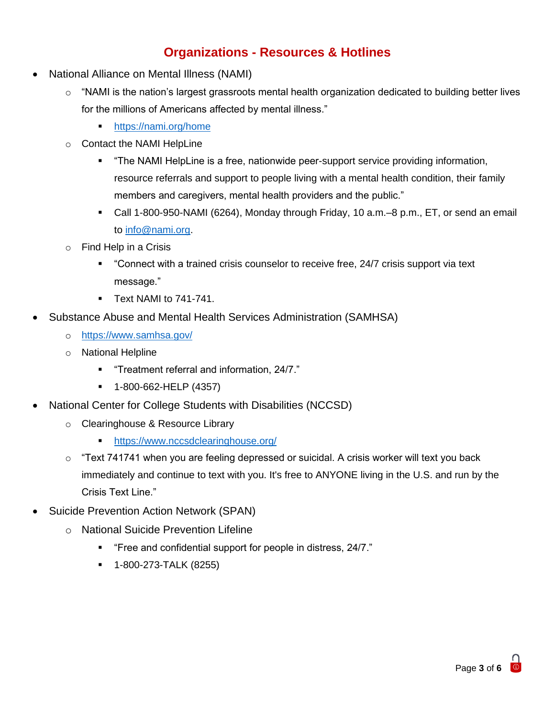### **Organizations - Resources & Hotlines**

- National Alliance on Mental Illness (NAMI)
	- $\circ$  "NAMI is the nation's largest grassroots mental health organization dedicated to building better lives for the millions of Americans affected by mental illness."
		- <https://nami.org/home>
	- o Contact the NAMI HelpLine
		- "The NAMI HelpLine is a free, nationwide peer-support service providing information, resource referrals and support to people living with a mental health condition, their family members and caregivers, mental health providers and the public."
		- Call 1-800-950-NAMI (6264), Monday through Friday, 10 a.m.–8 p.m., ET, or send an email to [info@nami.org.](mailto:info@nami.org)
	- $\circ$  Find Help in a Crisis
		- "Connect with a trained crisis counselor to receive free, 24/7 crisis support via text message."
		- **Text NAMI to 741-741.**
- Substance Abuse and Mental Health Services Administration (SAMHSA)
	- o <https://www.samhsa.gov/>
	- o National Helpline
		- "Treatment referral and information, 24/7."
		- 1-800-662-HELP (4357)
- National Center for College Students with Disabilities (NCCSD)
	- o Clearinghouse & Resource Library
		- https://www.nccsdclearinghouse.org/
	- $\circ$  "Text 741741 when you are feeling depressed or suicidal. A crisis worker will text you back immediately and continue to text with you. It's free to ANYONE living in the U.S. and run by the Crisis Text Line."
- Suicide Prevention Action Network (SPAN)
	- o National Suicide Prevention Lifeline
		- "Free and confidential support for people in distress, 24/7."
		- 1-800-273-TALK (8255)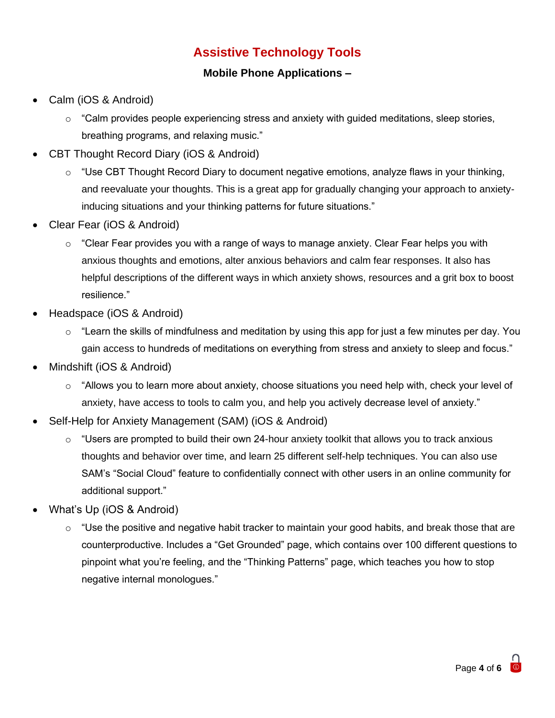## **Assistive Technology Tools**

#### **Mobile Phone Applications –**

- Calm (iOS & Android)
	- $\circ$  "Calm provides people experiencing stress and anxiety with guided meditations, sleep stories, breathing programs, and relaxing music."
- CBT Thought Record Diary (iOS & Android)
	- $\circ$  "Use CBT Thought Record Diary to document negative emotions, analyze flaws in your thinking, and reevaluate your thoughts. This is a great app for gradually changing your approach to anxietyinducing situations and your thinking patterns for future situations."
- Clear Fear (iOS & Android)
	- $\circ$  "Clear Fear provides you with a range of ways to manage anxiety. Clear Fear helps you with anxious thoughts and emotions, alter anxious behaviors and calm fear responses. It also has helpful descriptions of the different ways in which anxiety shows, resources and a grit box to boost resilience."
- Headspace (iOS & Android)
	- $\circ$  "Learn the skills of mindfulness and meditation by using this app for just a few minutes per day. You gain access to hundreds of meditations on everything from stress and anxiety to sleep and focus."
- Mindshift (iOS & Android)
	- $\circ$  "Allows you to learn more about anxiety, choose situations you need help with, check your level of anxiety, have access to tools to calm you, and help you actively decrease level of anxiety."
- Self-Help for Anxiety Management (SAM) (iOS & Android)
	- $\circ$  "Users are prompted to build their own 24-hour anxiety toolkit that allows you to track anxious thoughts and behavior over time, and learn 25 different self-help techniques. You can also use SAM's "Social Cloud" feature to confidentially connect with other users in an online community for additional support."
- What's Up (iOS & Android)
	- $\circ$  "Use the positive and negative habit tracker to maintain your good habits, and break those that are counterproductive. Includes a "Get Grounded" page, which contains over 100 different questions to pinpoint what you're feeling, and the "Thinking Patterns" page, which teaches you how to stop negative internal monologues."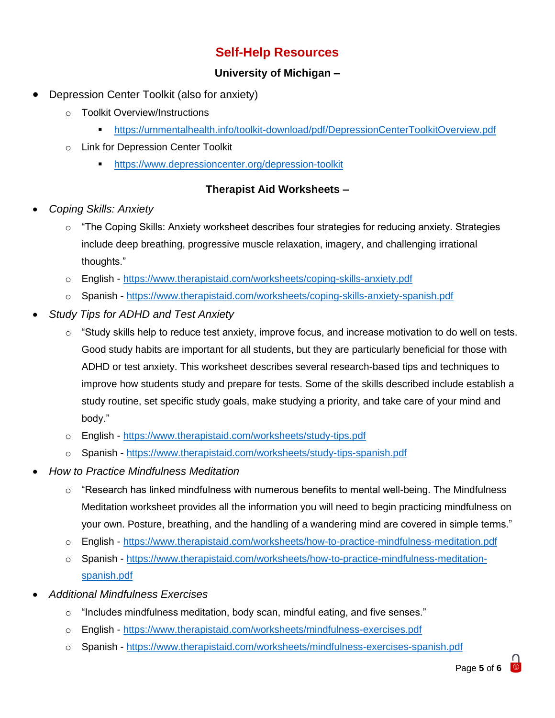### **Self-Help Resources**

#### **University of Michigan –**

- Depression Center Toolkit (also for anxiety)
	- o Toolkit Overview/Instructions
		- <https://ummentalhealth.info/toolkit-download/pdf/DepressionCenterToolkitOverview.pdf>
	- o Link for Depression Center Toolkit
		- **•** <https://www.depressioncenter.org/depression-toolkit>

#### **Therapist Aid Worksheets –**

- *Coping Skills: Anxiety*
	- $\circ$  "The Coping Skills: Anxiety worksheet describes four strategies for reducing anxiety. Strategies include deep breathing, progressive muscle relaxation, imagery, and challenging irrational thoughts."
	- o English <https://www.therapistaid.com/worksheets/coping-skills-anxiety.pdf>
	- o Spanish <https://www.therapistaid.com/worksheets/coping-skills-anxiety-spanish.pdf>
- *Study Tips for ADHD and Test Anxiety*
	- $\circ$  "Study skills help to reduce test anxiety, improve focus, and increase motivation to do well on tests. Good study habits are important for all students, but they are particularly beneficial for those with ADHD or test anxiety. This worksheet describes several research-based tips and techniques to improve how students study and prepare for tests. Some of the skills described include establish a study routine, set specific study goals, make studying a priority, and take care of your mind and body."
	- o English <https://www.therapistaid.com/worksheets/study-tips.pdf>
	- o Spanish <https://www.therapistaid.com/worksheets/study-tips-spanish.pdf>
- *How to Practice Mindfulness Meditation*
	- $\circ$  "Research has linked mindfulness with numerous benefits to mental well-being. The Mindfulness Meditation worksheet provides all the information you will need to begin practicing mindfulness on your own. Posture, breathing, and the handling of a wandering mind are covered in simple terms."
	- o English <https://www.therapistaid.com/worksheets/how-to-practice-mindfulness-meditation.pdf>
	- o Spanish [https://www.therapistaid.com/worksheets/how-to-practice-mindfulness-meditation](https://www.therapistaid.com/worksheets/how-to-practice-mindfulness-meditation-spanish.pdf)[spanish.pdf](https://www.therapistaid.com/worksheets/how-to-practice-mindfulness-meditation-spanish.pdf)
- *Additional Mindfulness Exercises*
	- $\circ$  "Includes mindfulness meditation, body scan, mindful eating, and five senses."
	- o English <https://www.therapistaid.com/worksheets/mindfulness-exercises.pdf>
	- o Spanish <https://www.therapistaid.com/worksheets/mindfulness-exercises-spanish.pdf>